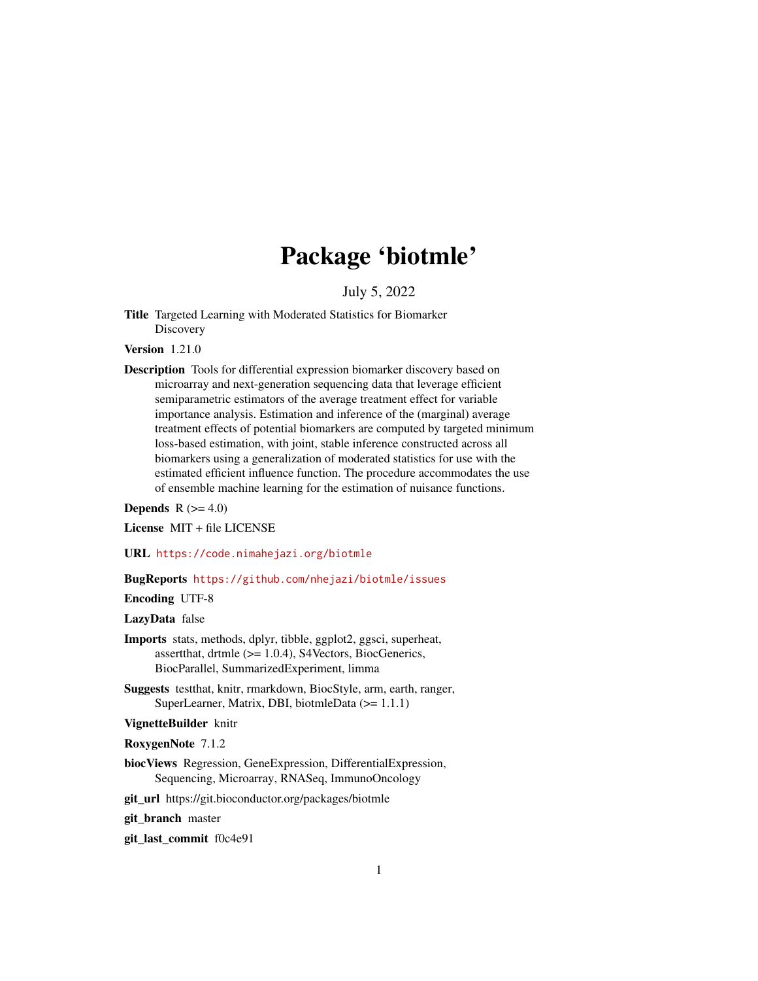# Package 'biotmle'

July 5, 2022

<span id="page-0-0"></span>Title Targeted Learning with Moderated Statistics for Biomarker **Discovery** 

Version 1.21.0

Description Tools for differential expression biomarker discovery based on microarray and next-generation sequencing data that leverage efficient semiparametric estimators of the average treatment effect for variable importance analysis. Estimation and inference of the (marginal) average treatment effects of potential biomarkers are computed by targeted minimum loss-based estimation, with joint, stable inference constructed across all biomarkers using a generalization of moderated statistics for use with the estimated efficient influence function. The procedure accommodates the use of ensemble machine learning for the estimation of nuisance functions.

**Depends**  $R$  ( $>= 4.0$ )

License MIT + file LICENSE

URL <https://code.nimahejazi.org/biotmle>

BugReports <https://github.com/nhejazi/biotmle/issues>

Encoding UTF-8

LazyData false

- Imports stats, methods, dplyr, tibble, ggplot2, ggsci, superheat, assertthat, drtmle (>= 1.0.4), S4Vectors, BiocGenerics, BiocParallel, SummarizedExperiment, limma
- Suggests testthat, knitr, rmarkdown, BiocStyle, arm, earth, ranger, SuperLearner, Matrix, DBI, biotmleData (>= 1.1.1)

VignetteBuilder knitr

RoxygenNote 7.1.2

biocViews Regression, GeneExpression, DifferentialExpression, Sequencing, Microarray, RNASeq, ImmunoOncology

git\_url https://git.bioconductor.org/packages/biotmle

git\_branch master

git\_last\_commit f0c4e91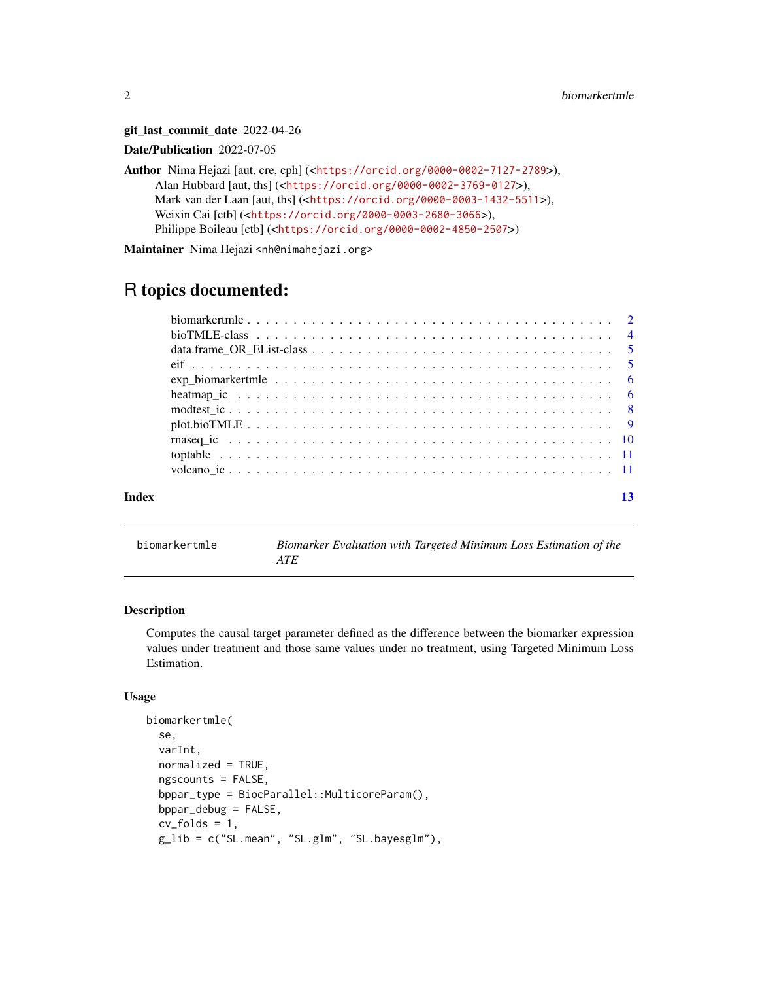git\_last\_commit\_date 2022-04-26

Date/Publication 2022-07-05

Author Nima Hejazi [aut, cre, cph] (<<https://orcid.org/0000-0002-7127-2789>>), Alan Hubbard [aut, ths] (<<https://orcid.org/0000-0002-3769-0127>>), Mark van der Laan [aut, ths] (<<https://orcid.org/0000-0003-1432-5511>>), Weixin Cai [ctb] (<<https://orcid.org/0000-0003-2680-3066>>), Philippe Boileau [ctb] (<<https://orcid.org/0000-0002-4850-2507>>)

Maintainer Nima Hejazi <nh@nimahejazi.org>

# R topics documented:

| $plot. bioTIME \ldots \ldots \ldots \ldots \ldots \ldots \ldots \ldots \ldots \ldots \ldots \ldots$ |  |
|-----------------------------------------------------------------------------------------------------|--|
|                                                                                                     |  |
|                                                                                                     |  |
|                                                                                                     |  |
|                                                                                                     |  |

biomarkertmle *Biomarker Evaluation with Targeted Minimum Loss Estimation of the ATE*

# Description

Computes the causal target parameter defined as the difference between the biomarker expression values under treatment and those same values under no treatment, using Targeted Minimum Loss Estimation.

#### Usage

```
biomarkertmle(
  se,
  varInt,
  normalized = TRUE,
  ngscounts = FALSE,
  bppar_type = BiocParallel::MulticoreParam(),
  bppar_debug = FALSE,
  cv_folds = 1,
  g_lib = c("SL.mean", "SL.glm", "SL.bayesglm"),
```
<span id="page-1-0"></span>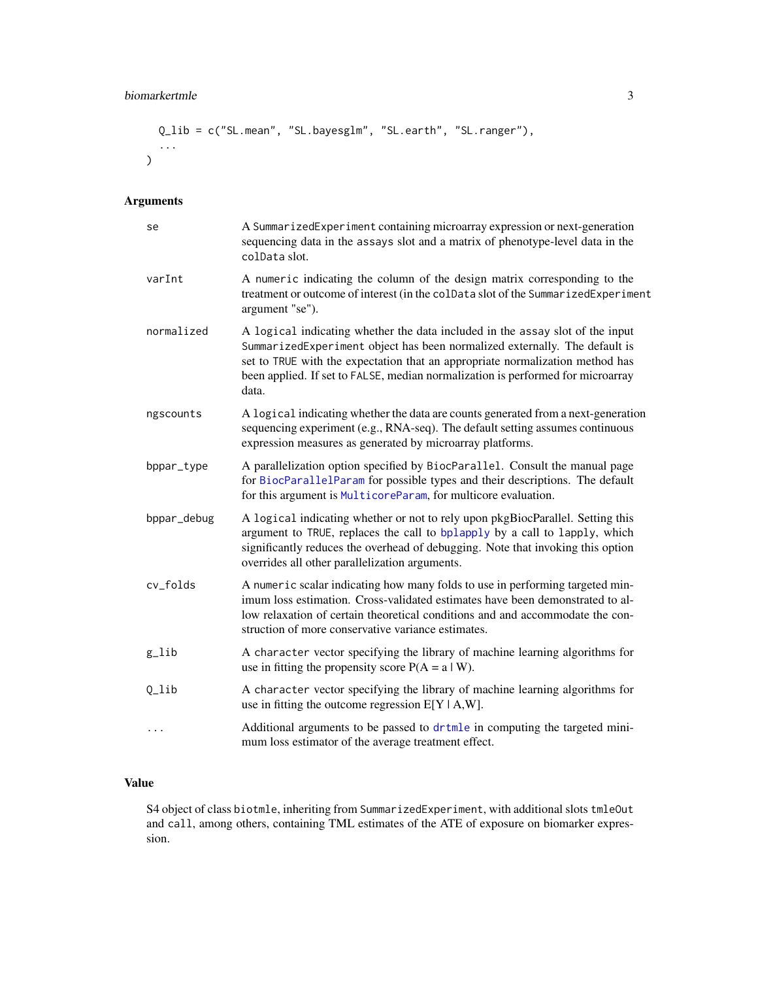# <span id="page-2-0"></span>biomarkertmle 3

```
Q_lib = c("SL.mean", "SL.bayesglm", "SL.earth", "SL.ranger"),
  ...
\overline{\phantom{a}}
```
# Arguments

| se                 | A SummarizedExperiment containing microarray expression or next-generation<br>sequencing data in the assays slot and a matrix of phenotype-level data in the<br>colData slot.                                                                                                                                                            |
|--------------------|------------------------------------------------------------------------------------------------------------------------------------------------------------------------------------------------------------------------------------------------------------------------------------------------------------------------------------------|
| varInt             | A numeric indicating the column of the design matrix corresponding to the<br>treatment or outcome of interest (in the colData slot of the SummarizedExperiment<br>argument "se").                                                                                                                                                        |
| normalized         | A logical indicating whether the data included in the assay slot of the input<br>SummarizedExperiment object has been normalized externally. The default is<br>set to TRUE with the expectation that an appropriate normalization method has<br>been applied. If set to FALSE, median normalization is performed for microarray<br>data. |
| ngscounts          | A logical indicating whether the data are counts generated from a next-generation<br>sequencing experiment (e.g., RNA-seq). The default setting assumes continuous<br>expression measures as generated by microarray platforms.                                                                                                          |
| bppar_type         | A parallelization option specified by BiocParallel. Consult the manual page<br>for BiocParallelParam for possible types and their descriptions. The default<br>for this argument is MulticoreParam, for multicore evaluation.                                                                                                            |
| bppar_debug        | A logical indicating whether or not to rely upon pkgBiocParallel. Setting this<br>argument to TRUE, replaces the call to bplapply by a call to lapply, which<br>significantly reduces the overhead of debugging. Note that invoking this option<br>overrides all other parallelization arguments.                                        |
| cv_folds           | A numeric scalar indicating how many folds to use in performing targeted min-<br>imum loss estimation. Cross-validated estimates have been demonstrated to al-<br>low relaxation of certain theoretical conditions and and accommodate the con-<br>struction of more conservative variance estimates.                                    |
| $g$ <sup>lib</sup> | A character vector specifying the library of machine learning algorithms for<br>use in fitting the propensity score $P(A = a   W)$ .                                                                                                                                                                                                     |
| $Q_{\perp}$ lib    | A character vector specifying the library of machine learning algorithms for<br>use in fitting the outcome regression $E[Y A,W]$ .                                                                                                                                                                                                       |
| $\cdots$           | Additional arguments to be passed to drtmle in computing the targeted mini-<br>mum loss estimator of the average treatment effect.                                                                                                                                                                                                       |

### Value

S4 object of class biotmle, inheriting from SummarizedExperiment, with additional slots tmleOut and call, among others, containing TML estimates of the ATE of exposure on biomarker expression.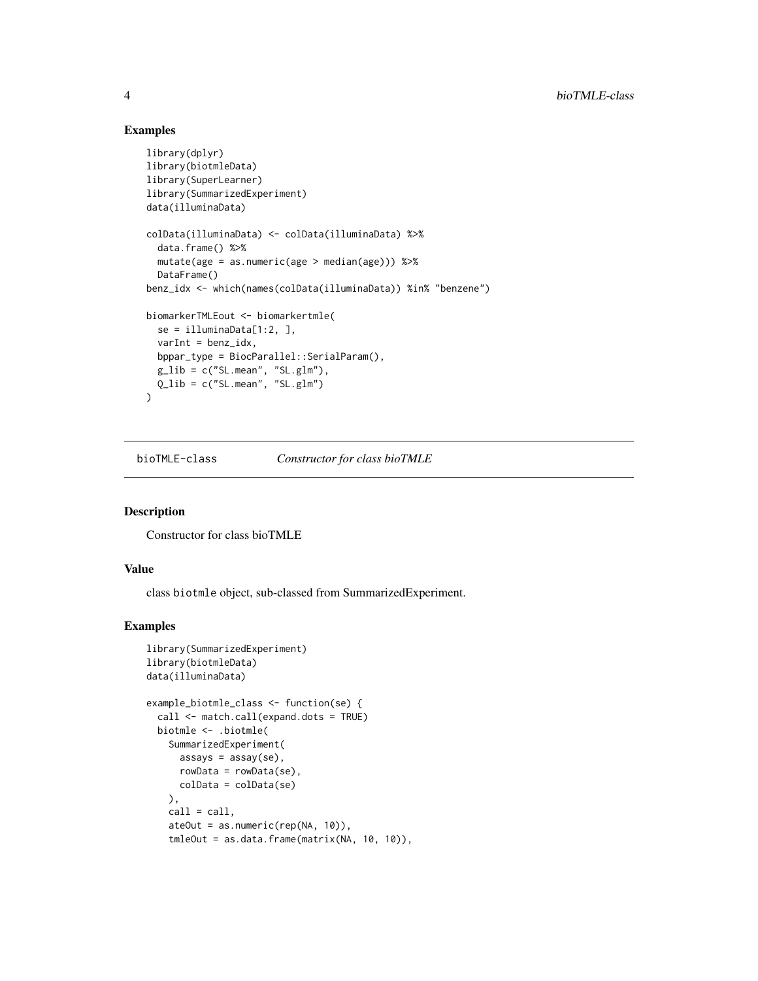# Examples

```
library(dplyr)
library(biotmleData)
library(SuperLearner)
library(SummarizedExperiment)
data(illuminaData)
colData(illuminaData) <- colData(illuminaData) %>%
  data.frame() %>%
  mutate(age = as.numeric(age > median(age))) %>%
  DataFrame()
benz_idx <- which(names(colData(illuminaData)) %in% "benzene")
biomarkerTMLEout <- biomarkertmle(
  se = illuminaData[1:2, ],
  varInt = benz_idx,
  bppar_type = BiocParallel::SerialParam(),
  g<sub>-</sub>lib = c("SL.mean", "SL.glm"),
  Q_{\text{l}}ib = c("SL.mean", "SL.glm")
\overline{)}
```
bioTMLE-class *Constructor for class bioTMLE*

# Description

Constructor for class bioTMLE

#### Value

class biotmle object, sub-classed from SummarizedExperiment.

```
library(SummarizedExperiment)
library(biotmleData)
data(illuminaData)
example_biotmle_class <- function(se) {
 call <- match.call(expand.dots = TRUE)
 biotmle <- .biotmle(
   SummarizedExperiment(
     assays = assay(se),
     rowData = rowData(se),
     colData = colData(se)
   ),
   call = call,ateOut = as.numeric(rep(NA, 10)),
   tmleOut = as.data.frame(matrix(NA, 10, 10)),
```
<span id="page-3-0"></span>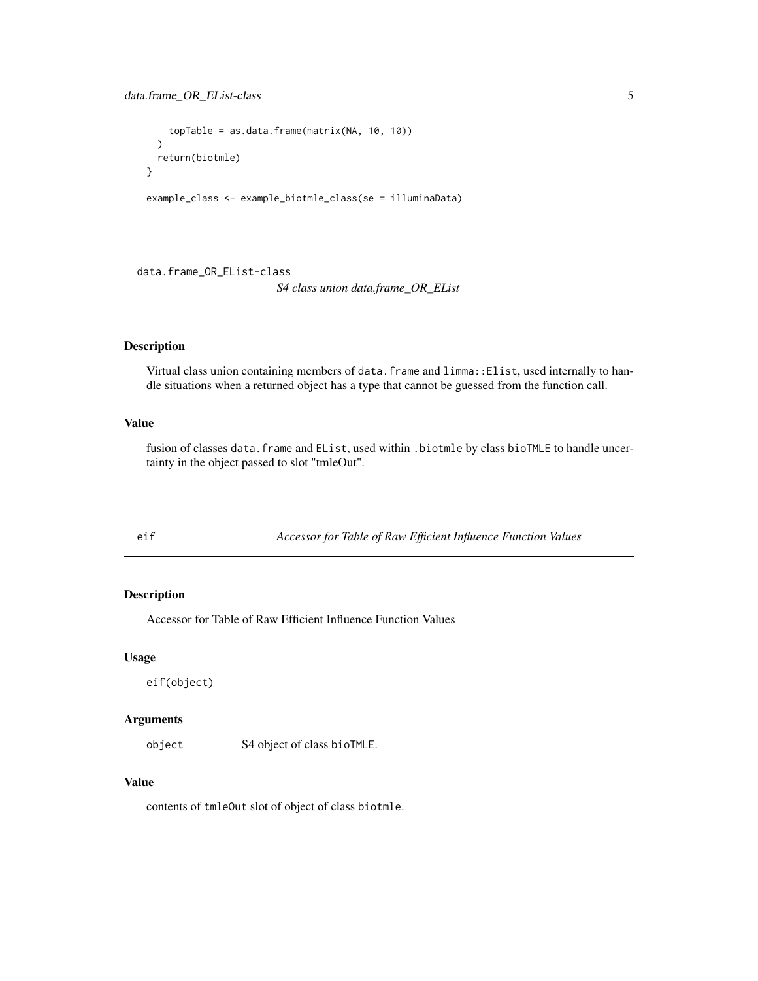```
topTable = as.data.frame(matrix(NA, 10, 10))
  \lambdareturn(biotmle)
}
```
example\_class <- example\_biotmle\_class(se = illuminaData)

data.frame\_OR\_EList-class *S4 class union data.frame\_OR\_EList*

# Description

Virtual class union containing members of data.frame and limma::Elist, used internally to handle situations when a returned object has a type that cannot be guessed from the function call.

# Value

fusion of classes data.frame and EList, used within .biotmle by class bioTMLE to handle uncertainty in the object passed to slot "tmleOut".

eif *Accessor for Table of Raw Efficient Influence Function Values*

# Description

Accessor for Table of Raw Efficient Influence Function Values

#### Usage

eif(object)

#### Arguments

object S4 object of class bioTMLE.

#### Value

contents of tmleOut slot of object of class biotmle.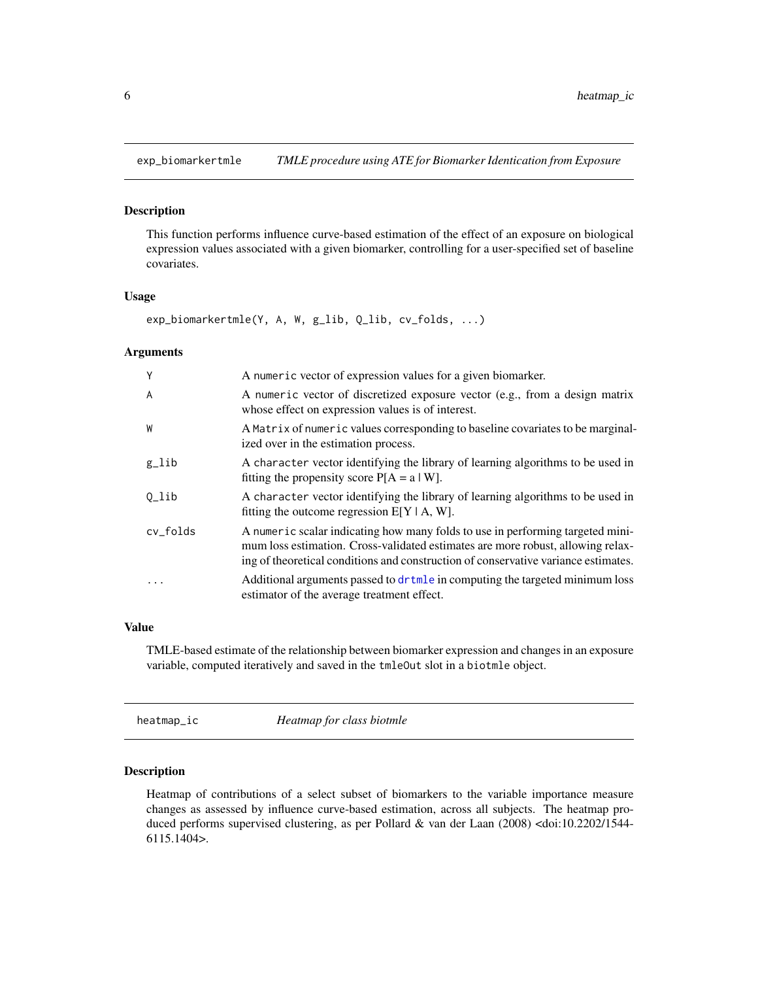<span id="page-5-0"></span>

This function performs influence curve-based estimation of the effect of an exposure on biological expression values associated with a given biomarker, controlling for a user-specified set of baseline covariates.

#### Usage

```
exp_biomarkertmle(Y, A, W, g_lib, Q_lib, cv_folds, ...)
```
#### **Arguments**

| Y                  | A numeric vector of expression values for a given biomarker.                                                                                                                                                                                            |
|--------------------|---------------------------------------------------------------------------------------------------------------------------------------------------------------------------------------------------------------------------------------------------------|
| A                  | A numeric vector of discretized exposure vector (e.g., from a design matrix<br>whose effect on expression values is of interest.                                                                                                                        |
| W                  | A Matrix of numeric values corresponding to baseline covariates to be marginal-<br>ized over in the estimation process.                                                                                                                                 |
| $g$ <sup>lib</sup> | A character vector identifying the library of learning algorithms to be used in<br>fitting the propensity score $P[A = a   W]$ .                                                                                                                        |
| Q_lib              | A character vector identifying the library of learning algorithms to be used in<br>fitting the outcome regression $E[Y \mid A, W]$ .                                                                                                                    |
| cv_folds           | A numeric scalar indicating how many folds to use in performing targeted mini-<br>mum loss estimation. Cross-validated estimates are more robust, allowing relax-<br>ing of theoretical conditions and construction of conservative variance estimates. |
| $\cdot$            | Additional arguments passed to dr tmle in computing the targeted minimum loss<br>estimator of the average treatment effect.                                                                                                                             |

# Value

TMLE-based estimate of the relationship between biomarker expression and changes in an exposure variable, computed iteratively and saved in the tmleOut slot in a biotmle object.

heatmap\_ic *Heatmap for class biotmle*

#### Description

Heatmap of contributions of a select subset of biomarkers to the variable importance measure changes as assessed by influence curve-based estimation, across all subjects. The heatmap produced performs supervised clustering, as per Pollard & van der Laan (2008) <doi:10.2202/1544-6115.1404>.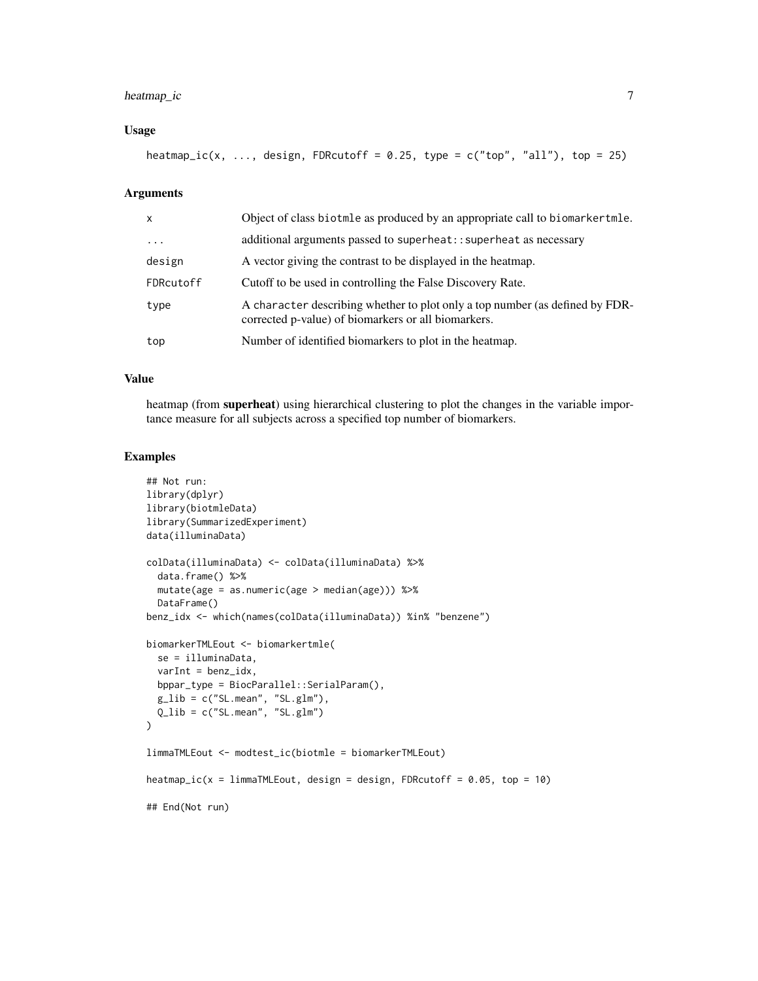# heatmap\_ic 7

#### Usage

heatmap\_ic(x, ..., design, FDRcutoff =  $0.25$ , type = c("top", "all"), top = 25)

#### **Arguments**

| X         | Object of class biotmle as produced by an appropriate call to biomarkertmle.                                                        |
|-----------|-------------------------------------------------------------------------------------------------------------------------------------|
| $\cdots$  | additional arguments passed to superheat:: superheat as necessary                                                                   |
| design    | A vector giving the contrast to be displayed in the heatmap.                                                                        |
| FDRcutoff | Cutoff to be used in controlling the False Discovery Rate.                                                                          |
| type      | A character describing whether to plot only a top number (as defined by FDR-<br>corrected p-value) of biomarkers or all biomarkers. |
| top       | Number of identified biomarkers to plot in the heatmap.                                                                             |

#### Value

heatmap (from **superheat**) using hierarchical clustering to plot the changes in the variable importance measure for all subjects across a specified top number of biomarkers.

```
## Not run:
library(dplyr)
library(biotmleData)
library(SummarizedExperiment)
data(illuminaData)
colData(illuminaData) <- colData(illuminaData) %>%
  data.frame() %>%
  mutate(age = as.numeric(age > median(age))) %>%
  DataFrame()
benz_idx <- which(names(colData(illuminaData)) %in% "benzene")
biomarkerTMLEout <- biomarkertmle(
  se = illuminaData,
  varInt = benz_idx,
  bppar_type = BiocParallel::SerialParam(),
  g<sub>-</sub>lib = c("SL.mean", "SL.glm"),
  Q_lib = c("SL.mean", "SL.glm")
\mathcal{L}limmaTMLEout <- modtest_ic(biotmle = biomarkerTMLEout)
heatmap_ic(x = 1immaTMLEout, design = design, FDRcutoff = 0.05, top = 10)
## End(Not run)
```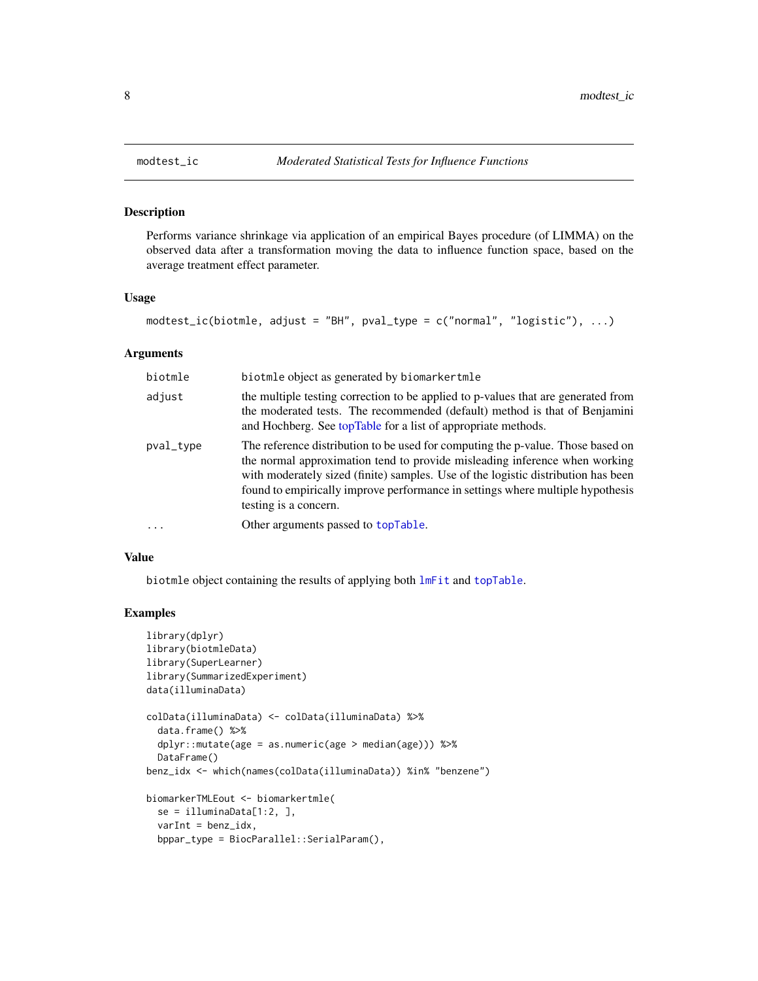<span id="page-7-0"></span>

Performs variance shrinkage via application of an empirical Bayes procedure (of LIMMA) on the observed data after a transformation moving the data to influence function space, based on the average treatment effect parameter.

#### Usage

```
modtest_ic(biotmle, adjust = "BH", pval_type = c("normal", "logistic"), ...)
```
# Arguments

| biotmle   | biotmle object as generated by biomarkertmle                                                                                                                                                                                                                                                                                                                  |
|-----------|---------------------------------------------------------------------------------------------------------------------------------------------------------------------------------------------------------------------------------------------------------------------------------------------------------------------------------------------------------------|
| adjust    | the multiple testing correction to be applied to p-values that are generated from<br>the moderated tests. The recommended (default) method is that of Benjamini<br>and Hochberg. See topTable for a list of appropriate methods.                                                                                                                              |
| pval_type | The reference distribution to be used for computing the p-value. Those based on<br>the normal approximation tend to provide misleading inference when working<br>with moderately sized (finite) samples. Use of the logistic distribution has been<br>found to empirically improve performance in settings where multiple hypothesis<br>testing is a concern. |
|           | Other arguments passed to topTable.                                                                                                                                                                                                                                                                                                                           |
|           |                                                                                                                                                                                                                                                                                                                                                               |

# Value

biotmle object containing the results of applying both [lmFit](#page-0-0) and [topTable](#page-0-0).

```
library(dplyr)
library(biotmleData)
library(SuperLearner)
library(SummarizedExperiment)
data(illuminaData)
colData(illuminaData) <- colData(illuminaData) %>%
  data.frame() %>%
  dplyr::mutate(age = as.numeric(age > median(age))) %>%
  DataFrame()
benz_idx <- which(names(colData(illuminaData)) %in% "benzene")
biomarkerTMLEout <- biomarkertmle(
  se = illuminaData[1:2, ],
  varInt = benz_idx,
  bppar_type = BiocParallel::SerialParam(),
```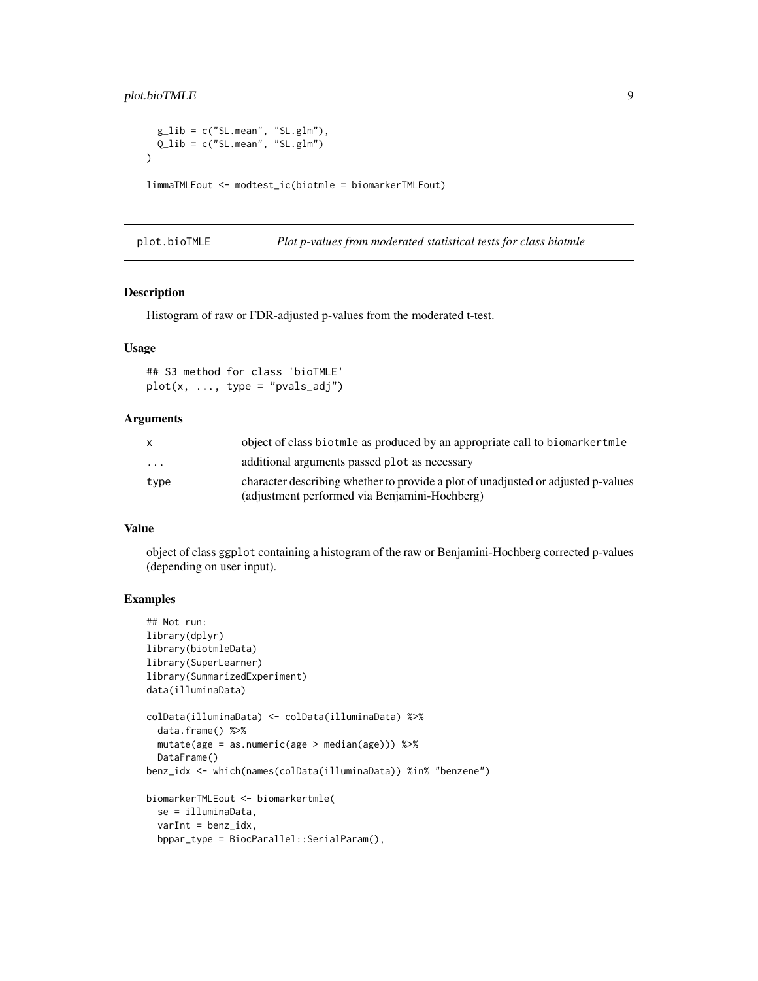# <span id="page-8-0"></span>plot.bioTMLE 9

```
g<sub>-</sub>lib = c("SL.mean", "SL.glm"),
  Q_{\text{l}}ib = c("SL.mean", "SL.glm")
)
limmaTMLEout <- modtest_ic(biotmle = biomarkerTMLEout)
```

| plot.bioTMLE |  | Plot p-values from moderated statistical tests for class biotmle |  |
|--------------|--|------------------------------------------------------------------|--|
|--------------|--|------------------------------------------------------------------|--|

# Description

Histogram of raw or FDR-adjusted p-values from the moderated t-test.

# Usage

## S3 method for class 'bioTMLE'  $plot(x, ..., type = "pvals_andj")$ 

#### Arguments

| $\mathsf{X}$ | object of class biotmle as produced by an appropriate call to biomarker tmle      |
|--------------|-----------------------------------------------------------------------------------|
| .            | additional arguments passed plot as necessary                                     |
| type         | character describing whether to provide a plot of unadjusted or adjusted p-values |
|              | (adjustment performed via Benjamini-Hochberg)                                     |

#### Value

object of class ggplot containing a histogram of the raw or Benjamini-Hochberg corrected p-values (depending on user input).

```
## Not run:
library(dplyr)
library(biotmleData)
library(SuperLearner)
library(SummarizedExperiment)
data(illuminaData)
colData(illuminaData) <- colData(illuminaData) %>%
  data.frame() %>%
  mutate(age = as.numeric(age > median(age))) %>%
  DataFrame()
benz_idx <- which(names(colData(illuminaData)) %in% "benzene")
biomarkerTMLEout <- biomarkertmle(
  se = illuminaData,
  varInt = benz_idx,
  bppar_type = BiocParallel::SerialParam(),
```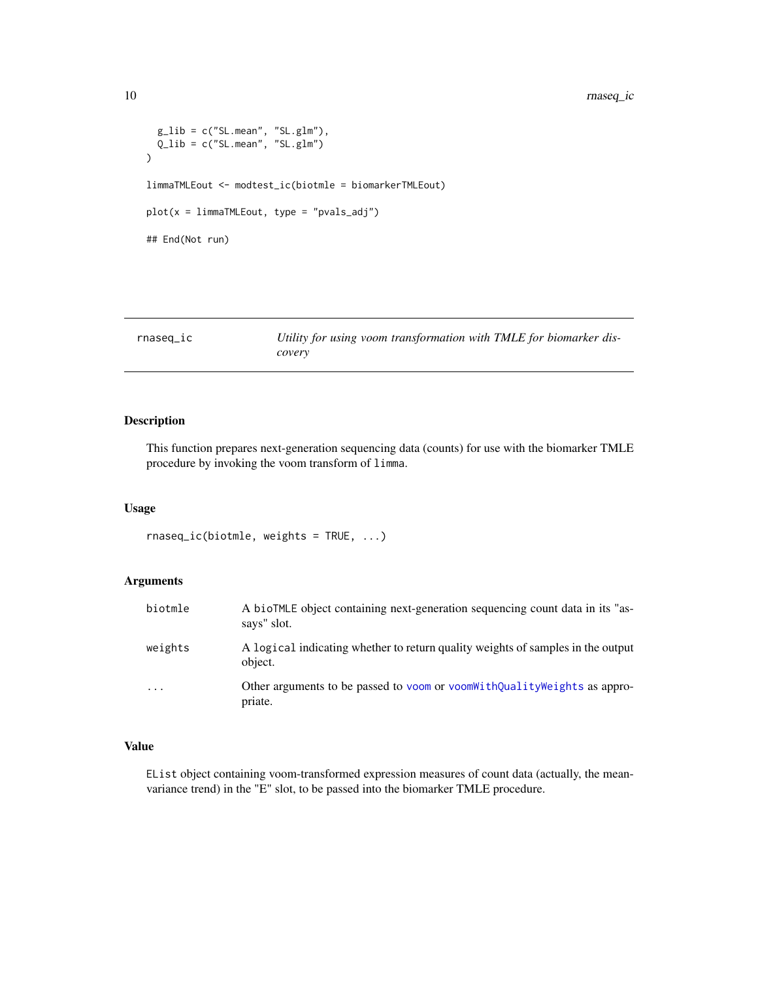```
g<sub>1ib</sub> = c("SL.mean", "SL.g1m"),
  Q_lib = c("SL.mean", "SL.glm")
\mathcal{L}limmaTMLEout <- modtest_ic(biotmle = biomarkerTMLEout)
plot(x = limmaTMLEout, type = "pvals_adj")
## End(Not run)
```

| rnaseq_ic | Utility for using voom transformation with TMLE for biomarker dis- |
|-----------|--------------------------------------------------------------------|
|           | covery                                                             |

This function prepares next-generation sequencing data (counts) for use with the biomarker TMLE procedure by invoking the voom transform of limma.

#### Usage

rnaseq\_ic(biotmle, weights = TRUE, ...)

#### Arguments

| biotmle                 | A bioTMLE object containing next-generation sequencing count data in its "as-<br>says" slot. |
|-------------------------|----------------------------------------------------------------------------------------------|
| weights                 | A logical indicating whether to return quality weights of samples in the output<br>object.   |
| $\cdot$ $\cdot$ $\cdot$ | Other arguments to be passed to voom or voom With Quality Weights as appro-<br>priate.       |

# Value

EList object containing voom-transformed expression measures of count data (actually, the meanvariance trend) in the "E" slot, to be passed into the biomarker TMLE procedure.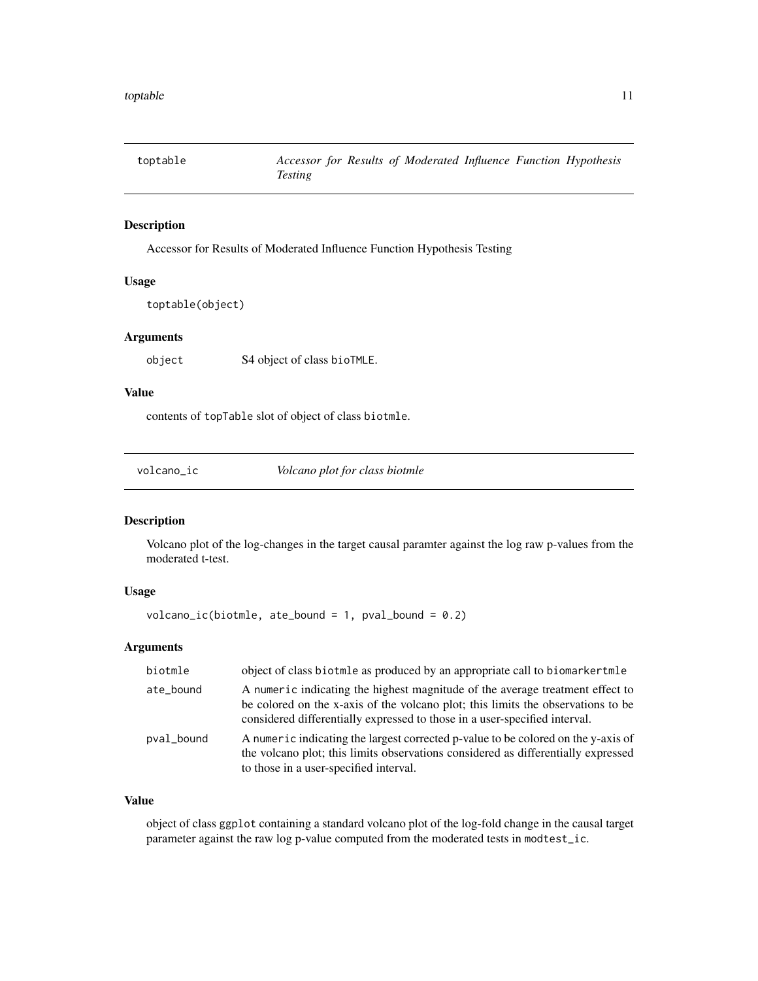<span id="page-10-0"></span>

Accessor for Results of Moderated Influence Function Hypothesis Testing

#### Usage

toptable(object)

# Arguments

object S4 object of class bioTMLE.

# Value

contents of topTable slot of object of class biotmle.

volcano\_ic *Volcano plot for class biotmle*

#### Description

Volcano plot of the log-changes in the target causal paramter against the log raw p-values from the moderated t-test.

#### Usage

 $volcano\_ic(biotmle, ate\_bound = 1, pval\_bound = 0.2)$ 

# Arguments

| biotmle    | object of class biotmle as produced by an appropriate call to biomarker tmle                                                                                                                                                                    |
|------------|-------------------------------------------------------------------------------------------------------------------------------------------------------------------------------------------------------------------------------------------------|
| ate_bound  | A numeric indicating the highest magnitude of the average treatment effect to<br>be colored on the x-axis of the volcano plot; this limits the observations to be<br>considered differentially expressed to those in a user-specified interval. |
| pval_bound | A numeric indicating the largest corrected p-value to be colored on the y-axis of<br>the volcano plot; this limits observations considered as differentially expressed<br>to those in a user-specified interval.                                |

#### Value

object of class ggplot containing a standard volcano plot of the log-fold change in the causal target parameter against the raw log p-value computed from the moderated tests in modtest\_ic.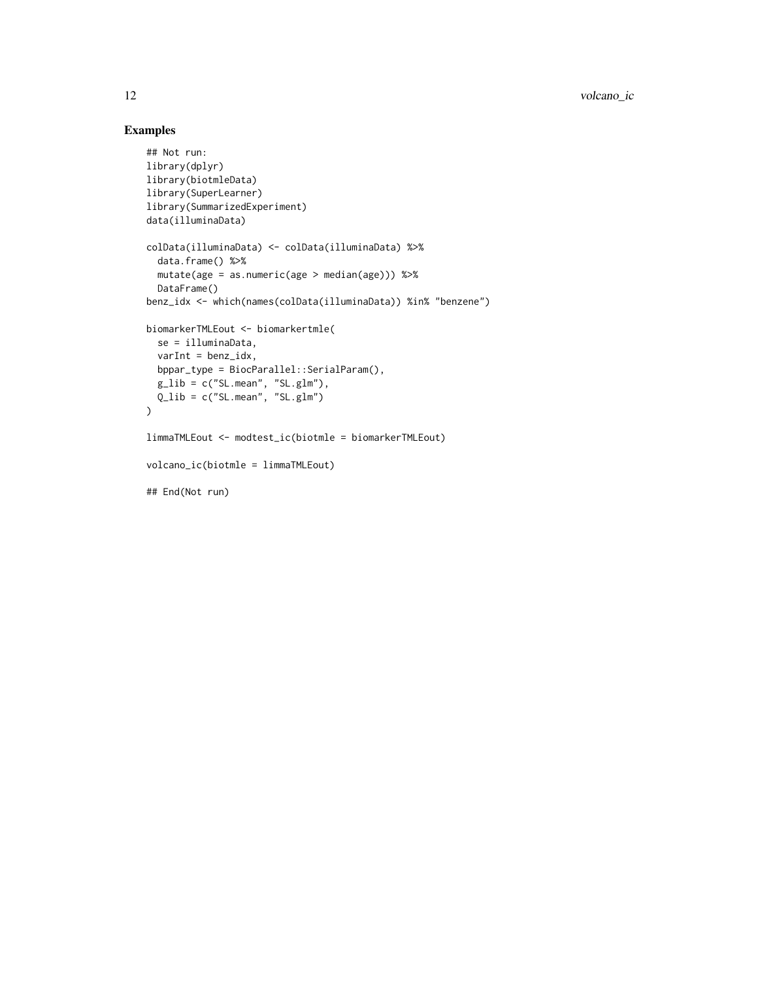```
## Not run:
library(dplyr)
library(biotmleData)
library(SuperLearner)
library(SummarizedExperiment)
data(illuminaData)
colData(illuminaData) <- colData(illuminaData) %>%
  data.frame() %>%
  mutate(age = as.numeric(age > median(age))) %>%
  DataFrame()
benz_idx <- which(names(colData(illuminaData)) %in% "benzene")
biomarkerTMLEout <- biomarkertmle(
  se = illuminaData,
  varInt = benz_idx,
  bppar_type = BiocParallel::SerialParam(),
  g<sub>1ib</sub> = c("SL.mean", "SL.glm"),
  Q_lib = c("SL.mean", "SL.glm")
\overline{)}limmaTMLEout <- modtest_ic(biotmle = biomarkerTMLEout)
volcano_ic(biotmle = limmaTMLEout)
## End(Not run)
```